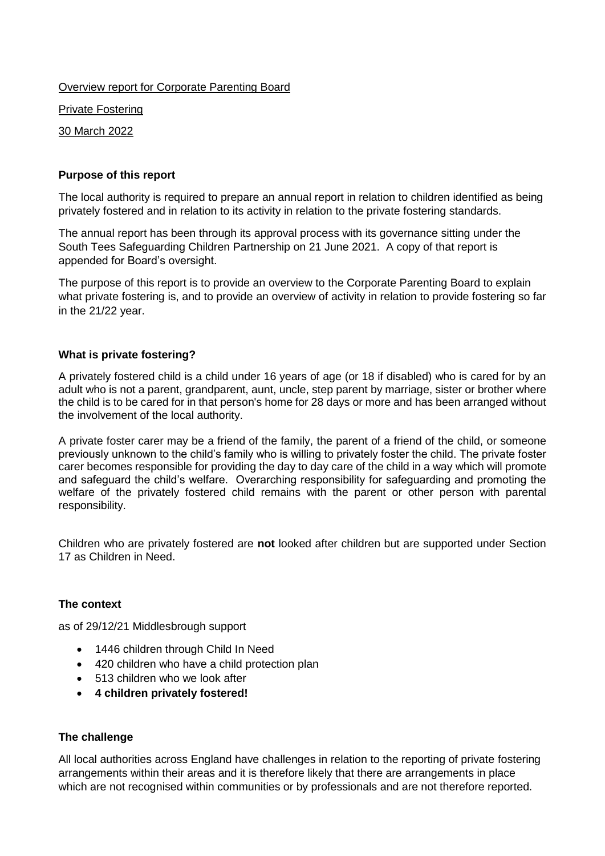Overview report for Corporate Parenting Board

Private Fostering

30 March 2022

# **Purpose of this report**

The local authority is required to prepare an annual report in relation to children identified as being privately fostered and in relation to its activity in relation to the private fostering standards.

The annual report has been through its approval process with its governance sitting under the South Tees Safeguarding Children Partnership on 21 June 2021. A copy of that report is appended for Board's oversight.

The purpose of this report is to provide an overview to the Corporate Parenting Board to explain what private fostering is, and to provide an overview of activity in relation to provide fostering so far in the 21/22 year.

## **What is private fostering?**

A privately fostered child is a child under 16 years of age (or 18 if disabled) who is cared for by an adult who is not a parent, grandparent, aunt, uncle, step parent by marriage, sister or brother where the child is to be cared for in that person's home for 28 days or more and has been arranged without the involvement of the local authority.

A private foster carer may be a friend of the family, the parent of a friend of the child, or someone previously unknown to the child's family who is willing to privately foster the child. The private foster carer becomes responsible for providing the day to day care of the child in a way which will promote and safeguard the child's welfare. Overarching responsibility for safeguarding and promoting the welfare of the privately fostered child remains with the parent or other person with parental responsibility.

Children who are privately fostered are **not** looked after children but are supported under Section 17 as Children in Need.

# **The context**

as of 29/12/21 Middlesbrough support

- 1446 children through Child In Need
- 420 children who have a child protection plan
- 513 children who we look after
- **4 children privately fostered!**

## **The challenge**

All local authorities across England have challenges in relation to the reporting of private fostering arrangements within their areas and it is therefore likely that there are arrangements in place which are not recognised within communities or by professionals and are not therefore reported.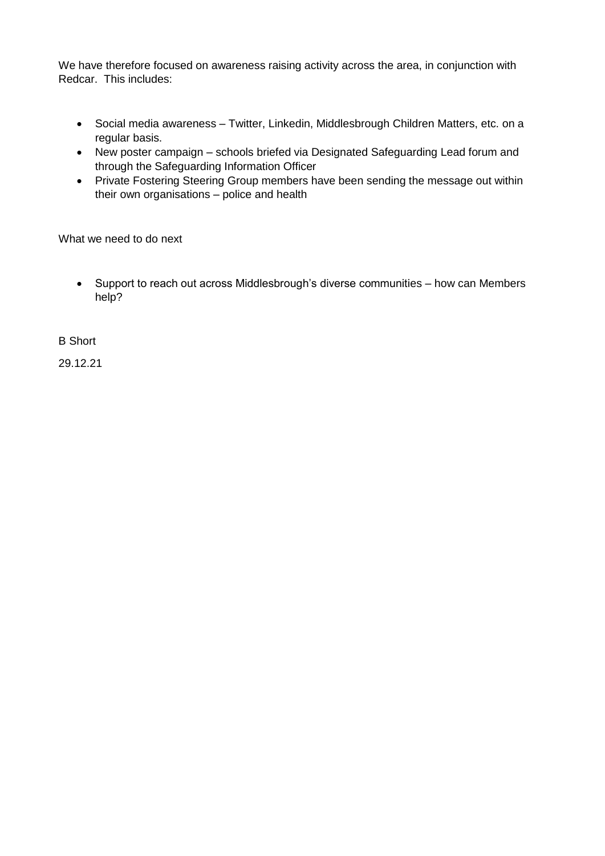We have therefore focused on awareness raising activity across the area, in conjunction with Redcar. This includes:

- Social media awareness Twitter, Linkedin, Middlesbrough Children Matters, etc. on a regular basis.
- New poster campaign schools briefed via Designated Safeguarding Lead forum and through the Safeguarding Information Officer
- Private Fostering Steering Group members have been sending the message out within their own organisations – police and health

What we need to do next

 Support to reach out across Middlesbrough's diverse communities – how can Members help?

B Short

29.12.21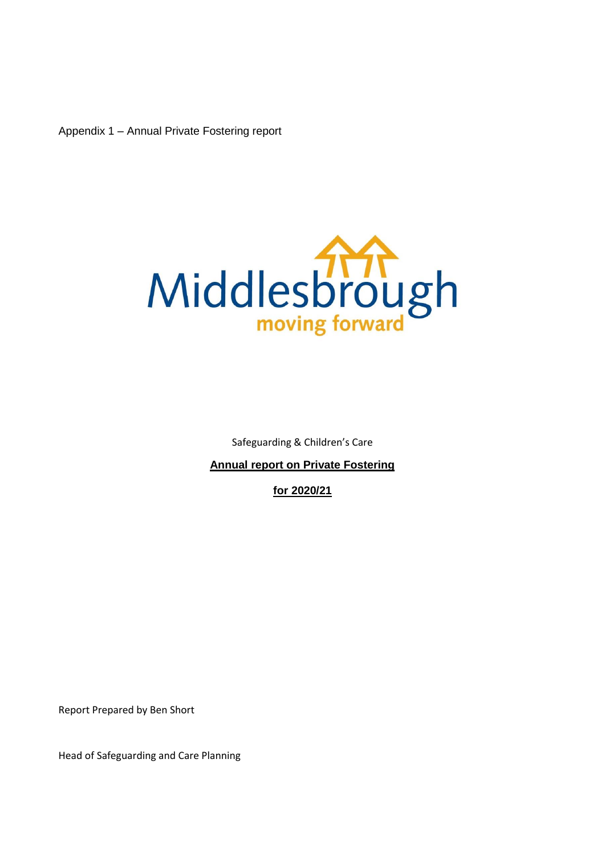Appendix 1 – Annual Private Fostering report



Safeguarding & Children's Care

**Annual report on Private Fostering** 

**for 2020/21**

Report Prepared by Ben Short

Head of Safeguarding and Care Planning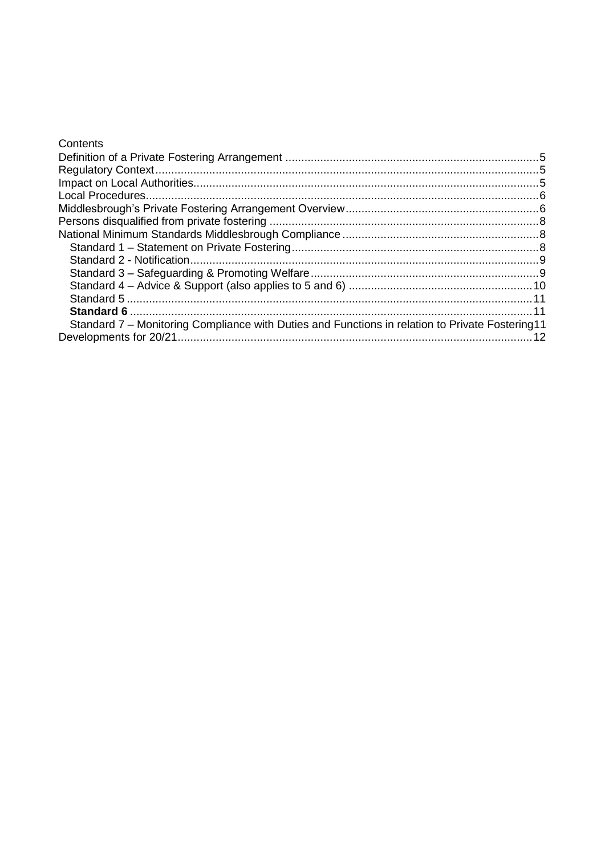| Standard 7 – Monitoring Compliance with Duties and Functions in relation to Private Fostering 11 | Contents |  |
|--------------------------------------------------------------------------------------------------|----------|--|
|                                                                                                  |          |  |
|                                                                                                  |          |  |
|                                                                                                  |          |  |
|                                                                                                  |          |  |
|                                                                                                  |          |  |
|                                                                                                  |          |  |
|                                                                                                  |          |  |
|                                                                                                  |          |  |
|                                                                                                  |          |  |
|                                                                                                  |          |  |
|                                                                                                  |          |  |
|                                                                                                  |          |  |
|                                                                                                  |          |  |
|                                                                                                  |          |  |
|                                                                                                  |          |  |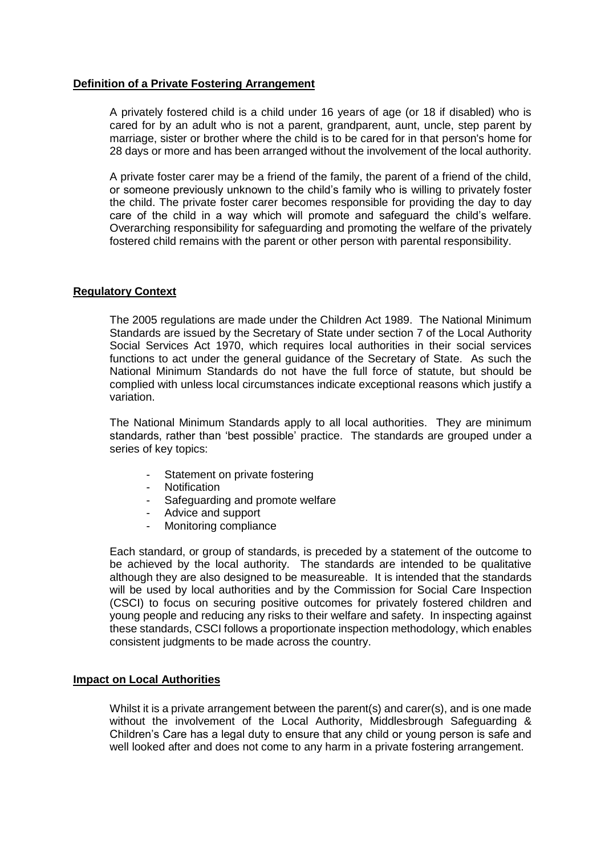## <span id="page-4-0"></span>**Definition of a Private Fostering Arrangement**

A privately fostered child is a child under 16 years of age (or 18 if disabled) who is cared for by an adult who is not a parent, grandparent, aunt, uncle, step parent by marriage, sister or brother where the child is to be cared for in that person's home for 28 days or more and has been arranged without the involvement of the local authority.

A private foster carer may be a friend of the family, the parent of a friend of the child, or someone previously unknown to the child's family who is willing to privately foster the child. The private foster carer becomes responsible for providing the day to day care of the child in a way which will promote and safeguard the child's welfare. Overarching responsibility for safeguarding and promoting the welfare of the privately fostered child remains with the parent or other person with parental responsibility.

## <span id="page-4-1"></span>**Regulatory Context**

The 2005 regulations are made under the Children Act 1989. The National Minimum Standards are issued by the Secretary of State under section 7 of the Local Authority Social Services Act 1970, which requires local authorities in their social services functions to act under the general guidance of the Secretary of State. As such the National Minimum Standards do not have the full force of statute, but should be complied with unless local circumstances indicate exceptional reasons which justify a variation.

The National Minimum Standards apply to all local authorities. They are minimum standards, rather than 'best possible' practice. The standards are grouped under a series of key topics:

- Statement on private fostering
- Notification
- Safeguarding and promote welfare
- Advice and support
- Monitoring compliance

Each standard, or group of standards, is preceded by a statement of the outcome to be achieved by the local authority. The standards are intended to be qualitative although they are also designed to be measureable. It is intended that the standards will be used by local authorities and by the Commission for Social Care Inspection (CSCI) to focus on securing positive outcomes for privately fostered children and young people and reducing any risks to their welfare and safety. In inspecting against these standards, CSCI follows a proportionate inspection methodology, which enables consistent judgments to be made across the country.

## <span id="page-4-2"></span>**Impact on Local Authorities**

Whilst it is a private arrangement between the parent(s) and carer(s), and is one made without the involvement of the Local Authority, Middlesbrough Safeguarding & Children's Care has a legal duty to ensure that any child or young person is safe and well looked after and does not come to any harm in a private fostering arrangement.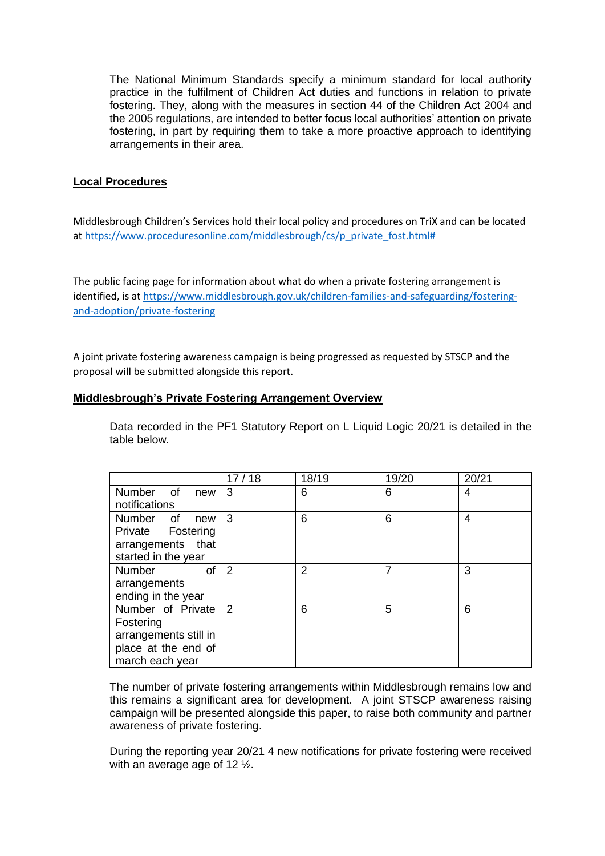The National Minimum Standards specify a minimum standard for local authority practice in the fulfilment of Children Act duties and functions in relation to private fostering. They, along with the measures in section 44 of the Children Act 2004 and the 2005 regulations, are intended to better focus local authorities' attention on private fostering, in part by requiring them to take a more proactive approach to identifying arrangements in their area.

# <span id="page-5-0"></span>**Local Procedures**

Middlesbrough Children's Services hold their local policy and procedures on TriX and can be located at https://www.proceduresonline.com/middlesbrough/cs/p\_private\_fost.html#

The public facing page for information about what do when a private fostering arrangement is identified, is at [https://www.middlesbrough.gov.uk/children-families-and-safeguarding/fostering](https://www.middlesbrough.gov.uk/children-families-and-safeguarding/fostering-and-adoption/private-fostering)[and-adoption/private-fostering](https://www.middlesbrough.gov.uk/children-families-and-safeguarding/fostering-and-adoption/private-fostering)

A joint private fostering awareness campaign is being progressed as requested by STSCP and the proposal will be submitted alongside this report.

## <span id="page-5-1"></span>**Middlesbrough's Private Fostering Arrangement Overview**

Data recorded in the PF1 Statutory Report on L Liquid Logic 20/21 is detailed in the table below.

|                            | 17/18          | 18/19 | 19/20 | 20/21 |
|----------------------------|----------------|-------|-------|-------|
| Number of<br>new           | 3              | 6     | 6     | 4     |
| notifications              |                |       |       |       |
| <b>Number</b><br>of<br>new | -3             | 6     | 6     | 4     |
| Private Fostering          |                |       |       |       |
| arrangements that          |                |       |       |       |
| started in the year        |                |       |       |       |
| <b>Number</b><br>οf        | 2              | 2     | 7     | 3     |
| arrangements               |                |       |       |       |
| ending in the year         |                |       |       |       |
| Number of Private          | $\overline{2}$ | 6     | 5     | 6     |
| Fostering                  |                |       |       |       |
| arrangements still in      |                |       |       |       |
| place at the end of        |                |       |       |       |
| march each year            |                |       |       |       |

The number of private fostering arrangements within Middlesbrough remains low and this remains a significant area for development. A joint STSCP awareness raising campaign will be presented alongside this paper, to raise both community and partner awareness of private fostering.

During the reporting year 20/21 4 new notifications for private fostering were received with an average age of 12 ½.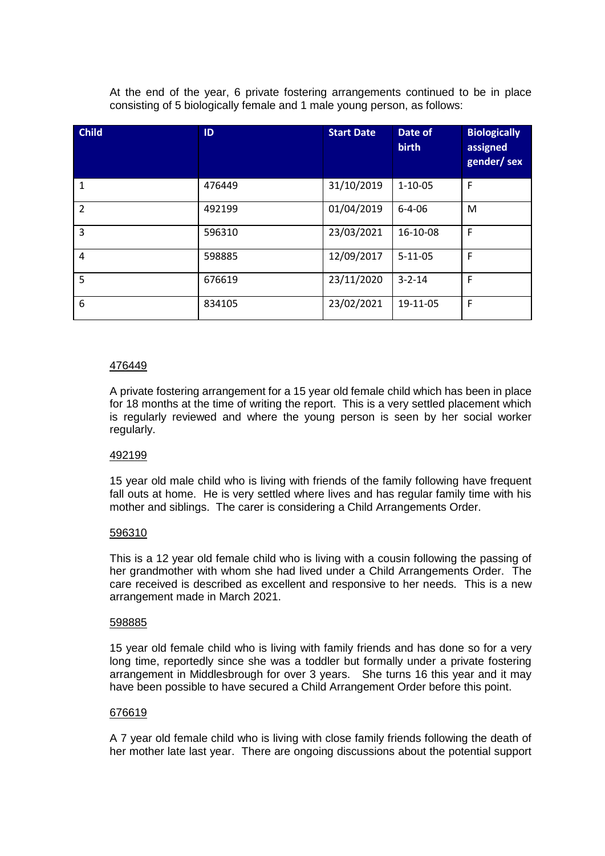At the end of the year, 6 private fostering arrangements continued to be in place consisting of 5 biologically female and 1 male young person, as follows:

| <b>Child</b>   | ID     | <b>Start Date</b> | Date of<br><b>birth</b> | <b>Biologically</b><br>assigned<br>gender/sex |
|----------------|--------|-------------------|-------------------------|-----------------------------------------------|
| $\mathbf{1}$   | 476449 | 31/10/2019        | $1 - 10 - 05$           | F                                             |
| $\overline{2}$ | 492199 | 01/04/2019        | $6 - 4 - 06$            | M                                             |
| 3              | 596310 | 23/03/2021        | 16-10-08                | $\mathsf{F}$                                  |
| 4              | 598885 | 12/09/2017        | $5 - 11 - 05$           | F                                             |
| 5              | 676619 | 23/11/2020        | $3 - 2 - 14$            | F                                             |
| 6              | 834105 | 23/02/2021        | 19-11-05                | F                                             |

## 476449

A private fostering arrangement for a 15 year old female child which has been in place for 18 months at the time of writing the report. This is a very settled placement which is regularly reviewed and where the young person is seen by her social worker regularly.

## 492199

15 year old male child who is living with friends of the family following have frequent fall outs at home. He is very settled where lives and has regular family time with his mother and siblings. The carer is considering a Child Arrangements Order.

## 596310

This is a 12 year old female child who is living with a cousin following the passing of her grandmother with whom she had lived under a Child Arrangements Order. The care received is described as excellent and responsive to her needs. This is a new arrangement made in March 2021.

#### 598885

15 year old female child who is living with family friends and has done so for a very long time, reportedly since she was a toddler but formally under a private fostering arrangement in Middlesbrough for over 3 years. She turns 16 this year and it may have been possible to have secured a Child Arrangement Order before this point.

#### 676619

A 7 year old female child who is living with close family friends following the death of her mother late last year. There are ongoing discussions about the potential support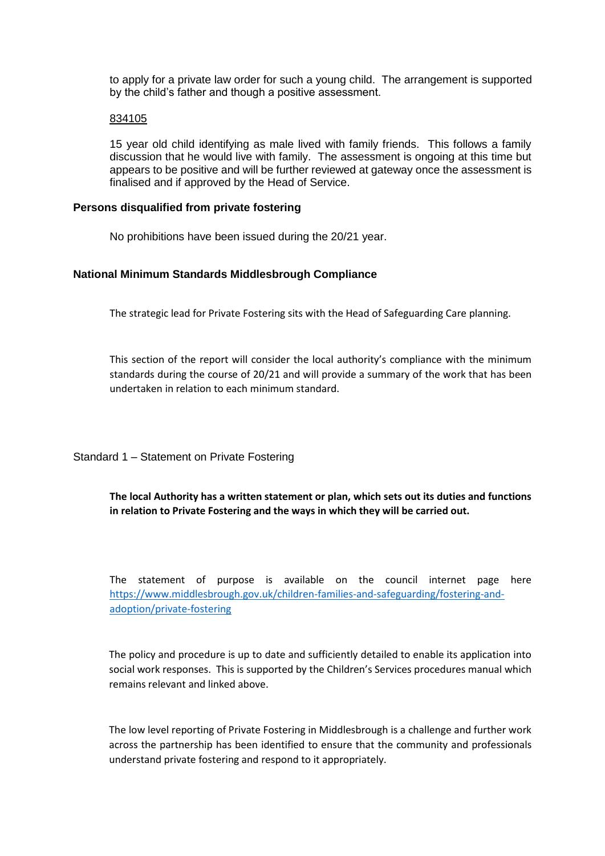to apply for a private law order for such a young child. The arrangement is supported by the child's father and though a positive assessment.

#### 834105

15 year old child identifying as male lived with family friends. This follows a family discussion that he would live with family. The assessment is ongoing at this time but appears to be positive and will be further reviewed at gateway once the assessment is finalised and if approved by the Head of Service.

### <span id="page-7-0"></span>**Persons disqualified from private fostering**

No prohibitions have been issued during the 20/21 year.

### <span id="page-7-1"></span>**National Minimum Standards Middlesbrough Compliance**

The strategic lead for Private Fostering sits with the Head of Safeguarding Care planning.

This section of the report will consider the local authority's compliance with the minimum standards during the course of 20/21 and will provide a summary of the work that has been undertaken in relation to each minimum standard.

<span id="page-7-2"></span>Standard 1 – Statement on Private Fostering

**The local Authority has a written statement or plan, which sets out its duties and functions in relation to Private Fostering and the ways in which they will be carried out.**

The statement of purpose is available on the council internet page here [https://www.middlesbrough.gov.uk/children-families-and-safeguarding/fostering-and](https://www.middlesbrough.gov.uk/children-families-and-safeguarding/fostering-and-adoption/private-fostering)[adoption/private-fostering](https://www.middlesbrough.gov.uk/children-families-and-safeguarding/fostering-and-adoption/private-fostering)

The policy and procedure is up to date and sufficiently detailed to enable its application into social work responses. This is supported by the Children's Services procedures manual which remains relevant and linked above.

The low level reporting of Private Fostering in Middlesbrough is a challenge and further work across the partnership has been identified to ensure that the community and professionals understand private fostering and respond to it appropriately.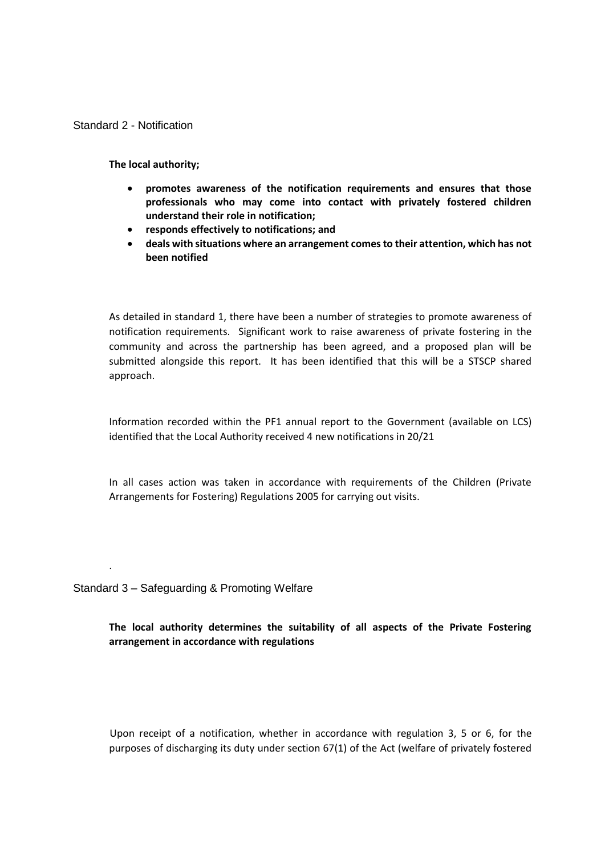### <span id="page-8-0"></span>Standard 2 - Notification

**The local authority;**

- **promotes awareness of the notification requirements and ensures that those professionals who may come into contact with privately fostered children understand their role in notification;**
- **responds effectively to notifications; and**
- **deals with situations where an arrangement comes to their attention, which has not been notified**

As detailed in standard 1, there have been a number of strategies to promote awareness of notification requirements. Significant work to raise awareness of private fostering in the community and across the partnership has been agreed, and a proposed plan will be submitted alongside this report. It has been identified that this will be a STSCP shared approach.

Information recorded within the PF1 annual report to the Government (available on LCS) identified that the Local Authority received 4 new notifications in 20/21

In all cases action was taken in accordance with requirements of the Children (Private Arrangements for Fostering) Regulations 2005 for carrying out visits.

<span id="page-8-1"></span>Standard 3 – Safeguarding & Promoting Welfare

.

**The local authority determines the suitability of all aspects of the Private Fostering arrangement in accordance with regulations**

Upon receipt of a notification, whether in accordance with regulation 3, 5 or 6, for the purposes of discharging its duty under section 67(1) of the Act (welfare of privately fostered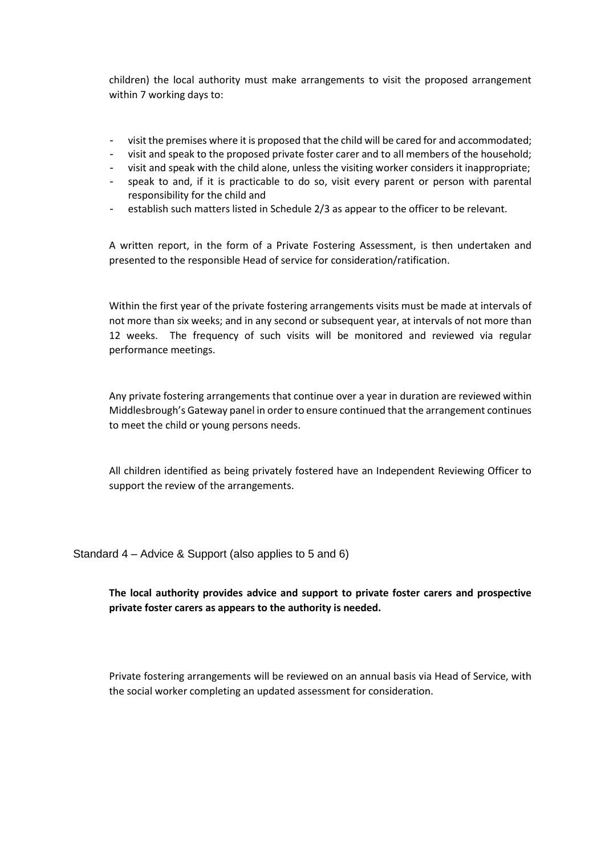children) the local authority must make arrangements to visit the proposed arrangement within 7 working days to:

### - visit the premises where it is proposed that the child will be cared for and accommodated;

- visit and speak to the proposed private foster carer and to all members of the household;
- visit and speak with the child alone, unless the visiting worker considers it inappropriate;
- speak to and, if it is practicable to do so, visit every parent or person with parental responsibility for the child and
- establish such matters listed in Schedule 2/3 as appear to the officer to be relevant.

A written report, in the form of a Private Fostering Assessment, is then undertaken and presented to the responsible Head of service for consideration/ratification.

Within the first year of the private fostering arrangements visits must be made at intervals of not more than six weeks; and in any second or subsequent year, at intervals of not more than 12 weeks. The frequency of such visits will be monitored and reviewed via regular performance meetings.

Any private fostering arrangements that continue over a year in duration are reviewed within Middlesbrough's Gateway panel in order to ensure continued that the arrangement continues to meet the child or young persons needs.

All children identified as being privately fostered have an Independent Reviewing Officer to support the review of the arrangements.

<span id="page-9-0"></span>Standard 4 – Advice & Support (also applies to 5 and 6)

# **The local authority provides advice and support to private foster carers and prospective private foster carers as appears to the authority is needed.**

Private fostering arrangements will be reviewed on an annual basis via Head of Service, with the social worker completing an updated assessment for consideration.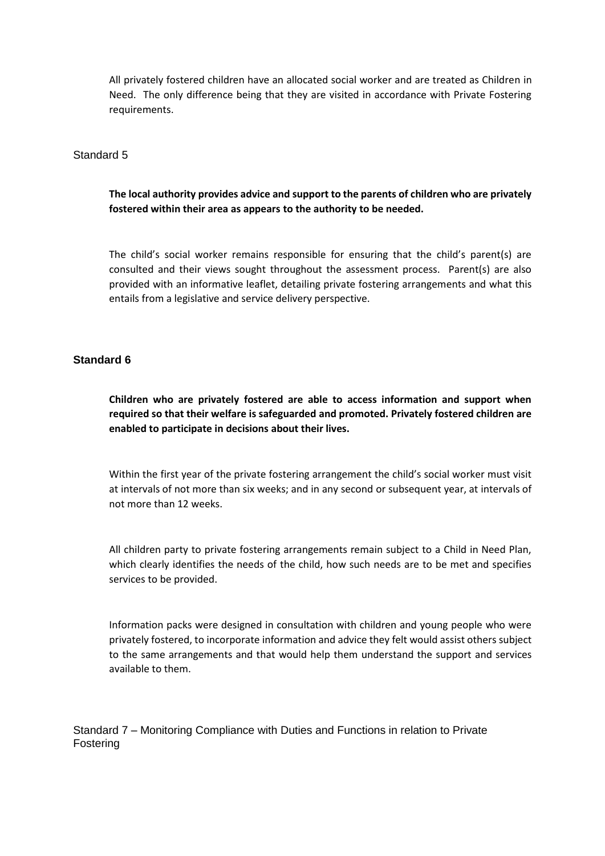All privately fostered children have an allocated social worker and are treated as Children in Need. The only difference being that they are visited in accordance with Private Fostering requirements.

<span id="page-10-0"></span>Standard 5

**The local authority provides advice and support to the parents of children who are privately fostered within their area as appears to the authority to be needed.**

The child's social worker remains responsible for ensuring that the child's parent(s) are consulted and their views sought throughout the assessment process. Parent(s) are also provided with an informative leaflet, detailing private fostering arrangements and what this entails from a legislative and service delivery perspective.

## <span id="page-10-1"></span>**Standard 6**

**Children who are privately fostered are able to access information and support when required so that their welfare is safeguarded and promoted. Privately fostered children are enabled to participate in decisions about their lives.**

Within the first year of the private fostering arrangement the child's social worker must visit at intervals of not more than six weeks; and in any second or subsequent year, at intervals of not more than 12 weeks.

All children party to private fostering arrangements remain subject to a Child in Need Plan, which clearly identifies the needs of the child, how such needs are to be met and specifies services to be provided.

Information packs were designed in consultation with children and young people who were privately fostered, to incorporate information and advice they felt would assist others subject to the same arrangements and that would help them understand the support and services available to them.

<span id="page-10-2"></span>Standard 7 – Monitoring Compliance with Duties and Functions in relation to Private Fostering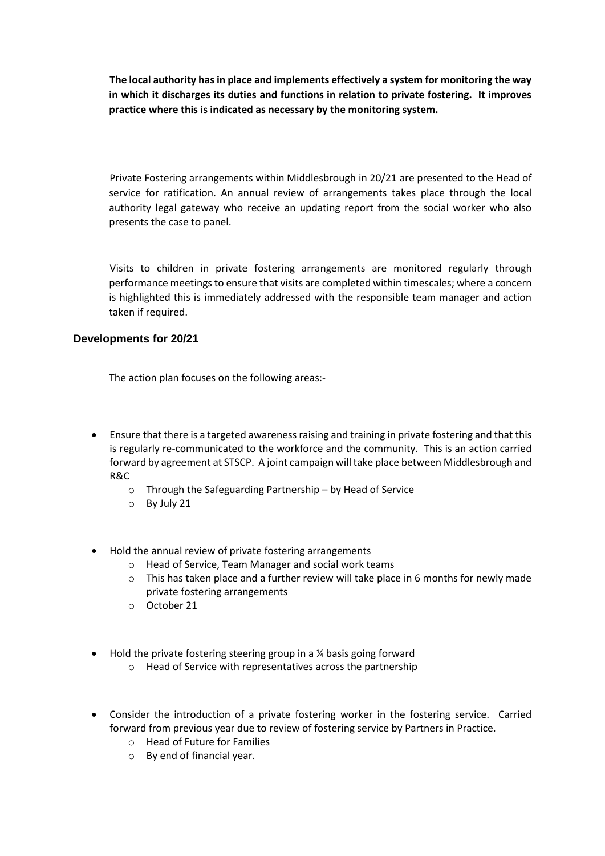**The local authority has in place and implements effectively a system for monitoring the way in which it discharges its duties and functions in relation to private fostering. It improves practice where this is indicated as necessary by the monitoring system.**

Private Fostering arrangements within Middlesbrough in 20/21 are presented to the Head of service for ratification. An annual review of arrangements takes place through the local authority legal gateway who receive an updating report from the social worker who also presents the case to panel.

Visits to children in private fostering arrangements are monitored regularly through performance meetings to ensure that visits are completed within timescales; where a concern is highlighted this is immediately addressed with the responsible team manager and action taken if required.

# <span id="page-11-0"></span>**Developments for 20/21**

The action plan focuses on the following areas:-

- Ensure that there is a targeted awareness raising and training in private fostering and that this is regularly re-communicated to the workforce and the community. This is an action carried forward by agreement at STSCP. A joint campaign will take place between Middlesbrough and R&C
	- o Through the Safeguarding Partnership by Head of Service
	- o By July 21
- Hold the annual review of private fostering arrangements
	- o Head of Service, Team Manager and social work teams
	- $\circ$  This has taken place and a further review will take place in 6 months for newly made private fostering arrangements
	- o October 21
- $\bullet$  Hold the private fostering steering group in a % basis going forward
	- o Head of Service with representatives across the partnership
- Consider the introduction of a private fostering worker in the fostering service. Carried forward from previous year due to review of fostering service by Partners in Practice.
	- o Head of Future for Families
	- o By end of financial year.